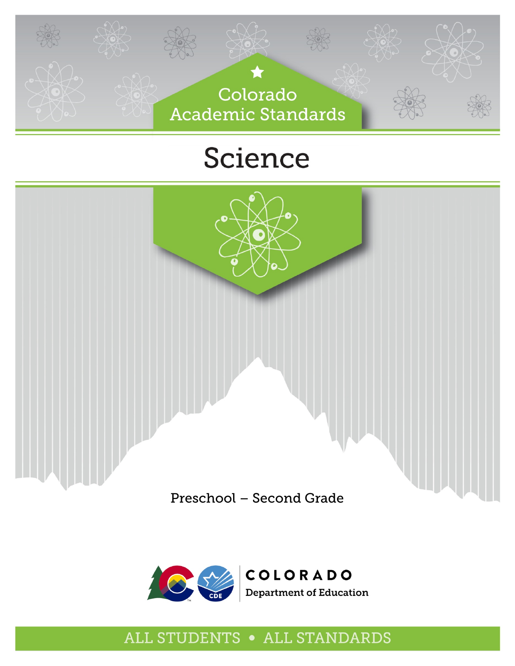

# Science







# ALL STUDENTS . ALL STANDARDS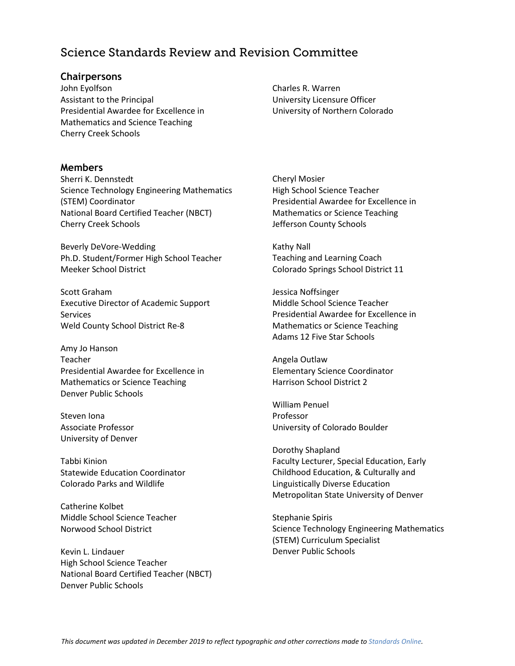# Science Standards Review and Revision Committee

#### **Chairpersons**

John Eyolfson Assistant to the Principal Presidential Awardee for Excellence in Mathematics and Science Teaching Cherry Creek Schools

#### **Members**

Sherri K. Dennstedt Science Technology Engineering Mathematics (STEM) Coordinator National Board Certified Teacher (NBCT) Cherry Creek Schools

Beverly DeVore-Wedding Ph.D. Student/Former High School Teacher Meeker School District

Scott Graham Executive Director of Academic Support Services Weld County School District Re-8

Amy Jo Hanson Teacher Presidential Awardee for Excellence in Mathematics or Science Teaching Denver Public Schools

Steven Iona Associate Professor University of Denver

Tabbi Kinion Statewide Education Coordinator Colorado Parks and Wildlife

Catherine Kolbet Middle School Science Teacher Norwood School District

Kevin L. Lindauer High School Science Teacher National Board Certified Teacher (NBCT) Denver Public Schools

Charles R. Warren University Licensure Officer University of Northern Colorado

Cheryl Mosier High School Science Teacher Presidential Awardee for Excellence in Mathematics or Science Teaching Jefferson County Schools

Kathy Nall Teaching and Learning Coach Colorado Springs School District 11

Jessica Noffsinger Middle School Science Teacher Presidential Awardee for Excellence in Mathematics or Science Teaching Adams 12 Five Star Schools

Angela Outlaw Elementary Science Coordinator Harrison School District 2

William Penuel Professor University of Colorado Boulder

Dorothy Shapland Faculty Lecturer, Special Education, Early Childhood Education, & Culturally and Linguistically Diverse Education Metropolitan State University of Denver

Stephanie Spiris Science Technology Engineering Mathematics (STEM) Curriculum Specialist Denver Public Schools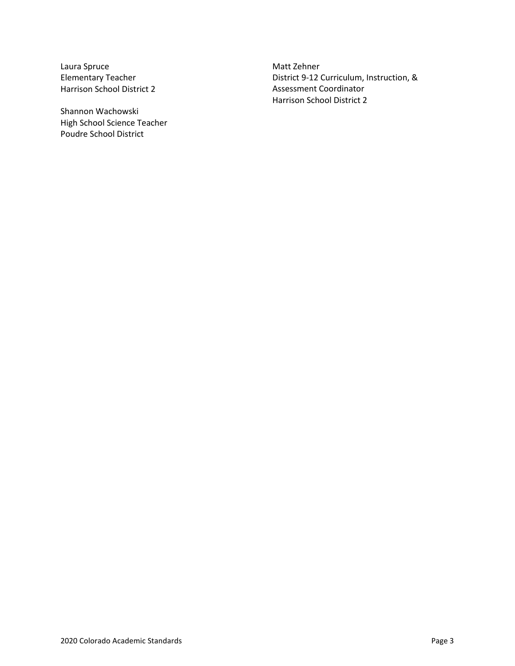Laura Spruce Elementary Teacher Harrison School District 2

Shannon Wachowski High School Science Teacher Poudre School District

Matt Zehner District 9-12 Curriculum, Instruction, & Assessment Coordinator Harrison School District 2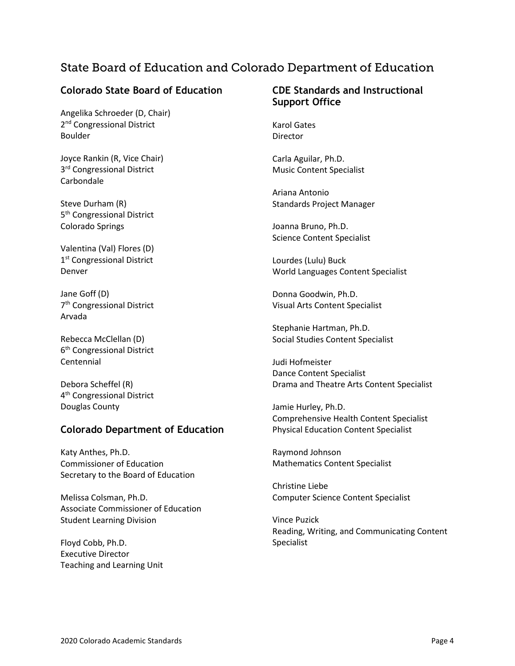# State Board of Education and Colorado Department of Education

#### **Colorado State Board of Education**

Angelika Schroeder (D, Chair) 2<sup>nd</sup> Congressional District Boulder

Joyce Rankin (R, Vice Chair) 3<sup>rd</sup> Congressional District Carbondale

Steve Durham (R) 5<sup>th</sup> Congressional District Colorado Springs

Valentina (Val) Flores (D) 1<sup>st</sup> Congressional District Denver

Jane Goff (D) 7th Congressional District Arvada

Rebecca McClellan (D) 6<sup>th</sup> Congressional District Centennial

Debora Scheffel (R) 4<sup>th</sup> Congressional District Douglas County

#### **Colorado Department of Education**

Katy Anthes, Ph.D. Commissioner of Education Secretary to the Board of Education

Melissa Colsman, Ph.D. Associate Commissioner of Education Student Learning Division

Floyd Cobb, Ph.D. Executive Director Teaching and Learning Unit

#### **CDE Standards and Instructional Support Office**

Karol Gates **Director** 

Carla Aguilar, Ph.D. Music Content Specialist

Ariana Antonio Standards Project Manager

Joanna Bruno, Ph.D. Science Content Specialist

Lourdes (Lulu) Buck World Languages Content Specialist

Donna Goodwin, Ph.D. Visual Arts Content Specialist

Stephanie Hartman, Ph.D. Social Studies Content Specialist

Judi Hofmeister Dance Content Specialist Drama and Theatre Arts Content Specialist

Jamie Hurley, Ph.D. Comprehensive Health Content Specialist Physical Education Content Specialist

Raymond Johnson Mathematics Content Specialist

Christine Liebe Computer Science Content Specialist

Vince Puzick Reading, Writing, and Communicating Content Specialist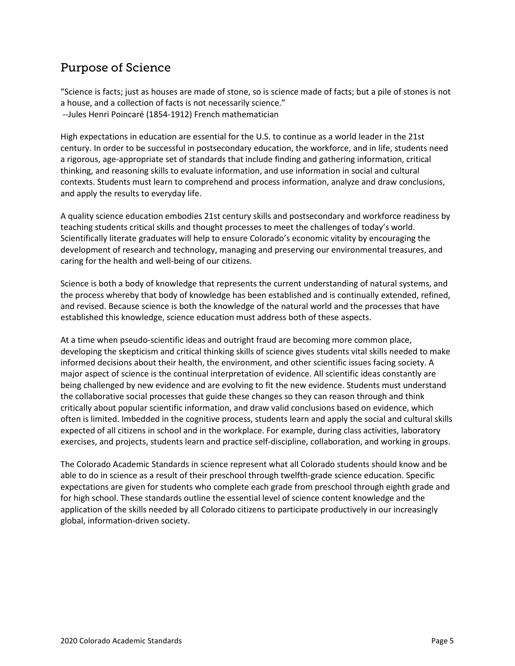# Purpose of Science

"Science is facts; just as houses are made of stone, so is science made of facts; but a pile of stones is not a house, and a collection of facts is not necessarily science." --Jules Henri Poincaré (1854-1912) French mathematician

High expectations in education are essential for the U.S. to continue as a world leader in the 21st century. In order to be successful in postsecondary education, the workforce, and in life, students need a rigorous, age-appropriate set of standards that include finding and gathering information, critical thinking, and reasoning skills to evaluate information, and use information in social and cultural contexts. Students must learn to comprehend and process information, analyze and draw conclusions, and apply the results to everyday life.

A quality science education embodies 21st century skills and postsecondary and workforce readiness by teaching students critical skills and thought processes to meet the challenges of today's world. Scientifically literate graduates will help to ensure Colorado's economic vitality by encouraging the development of research and technology, managing and preserving our environmental treasures, and caring for the health and well-being of our citizens.

Science is both a body of knowledge that represents the current understanding of natural systems, and the process whereby that body of knowledge has been established and is continually extended, refined, and revised. Because science is both the knowledge of the natural world and the processes that have established this knowledge, science education must address both of these aspects.

At a time when pseudo-scientific ideas and outright fraud are becoming more common place, developing the skepticism and critical thinking skills of science gives students vital skills needed to make informed decisions about their health, the environment, and other scientific issues facing society. A major aspect of science is the continual interpretation of evidence. All scientific ideas constantly are being challenged by new evidence and are evolving to fit the new evidence. Students must understand the collaborative social processes that guide these changes so they can reason through and think critically about popular scientific information, and draw valid conclusions based on evidence, which often is limited. Imbedded in the cognitive process, students learn and apply the social and cultural skills expected of all citizens in school and in the workplace. For example, during class activities, laboratory exercises, and projects, students learn and practice self-discipline, collaboration, and working in groups.

The Colorado Academic Standards in science represent what all Colorado students should know and be able to do in science as a result of their preschool through twelfth-grade science education. Specific expectations are given for students who complete each grade from preschool through eighth grade and for high school. These standards outline the essential level of science content knowledge and the application of the skills needed by all Colorado citizens to participate productively in our increasingly global, information-driven society.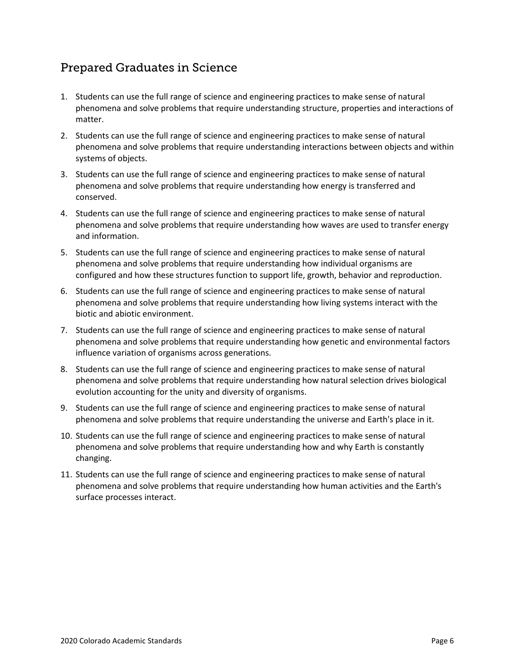# Prepared Graduates in Science

- 1. Students can use the full range of science and engineering practices to make sense of natural phenomena and solve problems that require understanding structure, properties and interactions of matter.
- 2. Students can use the full range of science and engineering practices to make sense of natural phenomena and solve problems that require understanding interactions between objects and within systems of objects.
- 3. Students can use the full range of science and engineering practices to make sense of natural phenomena and solve problems that require understanding how energy is transferred and conserved.
- 4. Students can use the full range of science and engineering practices to make sense of natural phenomena and solve problems that require understanding how waves are used to transfer energy and information.
- 5. Students can use the full range of science and engineering practices to make sense of natural phenomena and solve problems that require understanding how individual organisms are configured and how these structures function to support life, growth, behavior and reproduction.
- 6. Students can use the full range of science and engineering practices to make sense of natural phenomena and solve problems that require understanding how living systems interact with the biotic and abiotic environment.
- 7. Students can use the full range of science and engineering practices to make sense of natural phenomena and solve problems that require understanding how genetic and environmental factors influence variation of organisms across generations.
- 8. Students can use the full range of science and engineering practices to make sense of natural phenomena and solve problems that require understanding how natural selection drives biological evolution accounting for the unity and diversity of organisms.
- 9. Students can use the full range of science and engineering practices to make sense of natural phenomena and solve problems that require understanding the universe and Earth's place in it.
- 10. Students can use the full range of science and engineering practices to make sense of natural phenomena and solve problems that require understanding how and why Earth is constantly changing.
- 11. Students can use the full range of science and engineering practices to make sense of natural phenomena and solve problems that require understanding how human activities and the Earth's surface processes interact.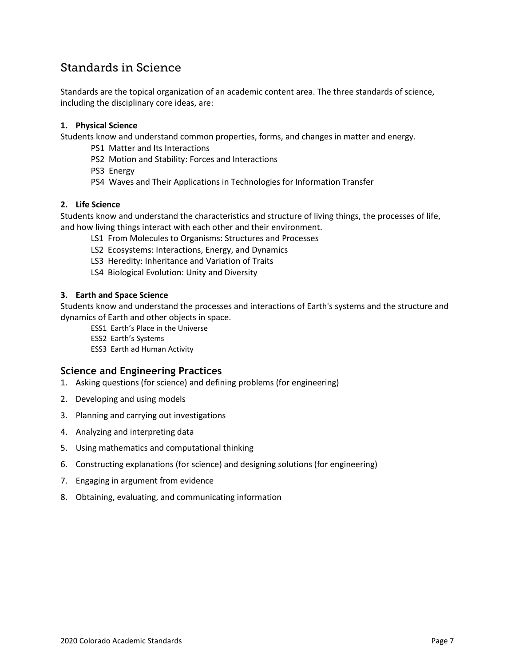# Standards in Science

Standards are the topical organization of an academic content area. The three standards of science, including the disciplinary core ideas, are:

#### **1. Physical Science**

Students know and understand common properties, forms, and changes in matter and energy.

- PS1 Matter and Its Interactions
- PS2 Motion and Stability: Forces and Interactions
- PS3 Energy
- PS4 Waves and Their Applications in Technologies for Information Transfer

#### **2. Life Science**

Students know and understand the characteristics and structure of living things, the processes of life, and how living things interact with each other and their environment.

- LS1 From Molecules to Organisms: Structures and Processes
- LS2 Ecosystems: Interactions, Energy, and Dynamics
- LS3 Heredity: Inheritance and Variation of Traits
- LS4 Biological Evolution: Unity and Diversity

#### **3. Earth and Space Science**

Students know and understand the processes and interactions of Earth's systems and the structure and dynamics of Earth and other objects in space.

ESS1 Earth's Place in the Universe

- ESS2 Earth's Systems
- ESS3 Earth ad Human Activity

#### **Science and Engineering Practices**

- 1. Asking questions (for science) and defining problems (for engineering)
- 2. Developing and using models
- 3. Planning and carrying out investigations
- 4. Analyzing and interpreting data
- 5. Using mathematics and computational thinking
- 6. Constructing explanations (for science) and designing solutions (for engineering)
- 7. Engaging in argument from evidence
- 8. Obtaining, evaluating, and communicating information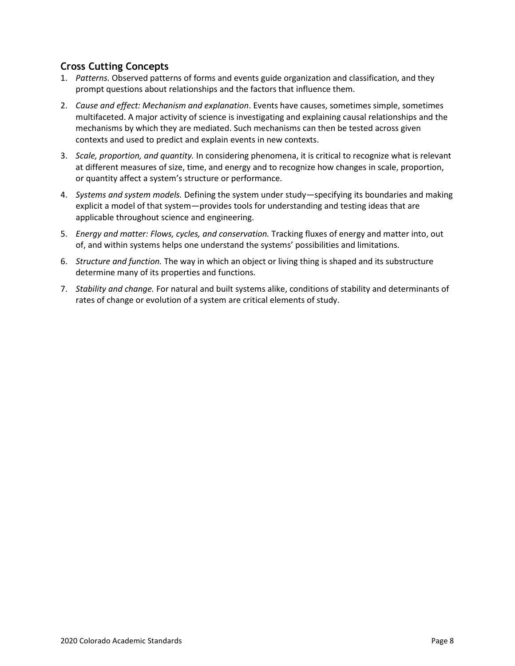### **Cross Cutting Concepts**

- 1. *Patterns.* Observed patterns of forms and events guide organization and classification, and they prompt questions about relationships and the factors that influence them.
- 2. *Cause and effect: Mechanism and explanation*. Events have causes, sometimes simple, sometimes multifaceted. A major activity of science is investigating and explaining causal relationships and the mechanisms by which they are mediated. Such mechanisms can then be tested across given contexts and used to predict and explain events in new contexts.
- 3. *Scale, proportion, and quantity.* In considering phenomena, it is critical to recognize what is relevant at different measures of size, time, and energy and to recognize how changes in scale, proportion, or quantity affect a system's structure or performance.
- 4. *Systems and system models.* Defining the system under study—specifying its boundaries and making explicit a model of that system—provides tools for understanding and testing ideas that are applicable throughout science and engineering.
- 5. *Energy and matter: Flows, cycles, and conservation.* Tracking fluxes of energy and matter into, out of, and within systems helps one understand the systems' possibilities and limitations.
- 6. *Structure and function.* The way in which an object or living thing is shaped and its substructure determine many of its properties and functions.
- 7. *Stability and change.* For natural and built systems alike, conditions of stability and determinants of rates of change or evolution of a system are critical elements of study.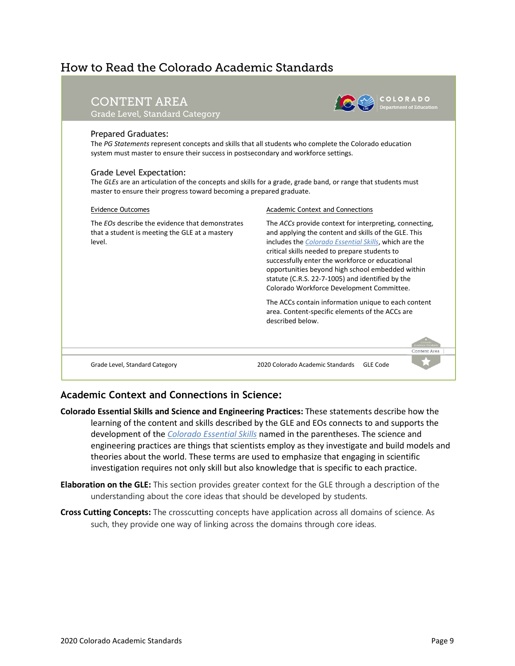# How to Read the Colorado Academic Standards

| <b>CONTENT AREA</b><br>Grade Level, Standard Category                                                                                                                                                                                                                                                                                                                                                                                          | partment of Education:                                                                                                                                                                                                                                                                                                                                                                                                           |
|------------------------------------------------------------------------------------------------------------------------------------------------------------------------------------------------------------------------------------------------------------------------------------------------------------------------------------------------------------------------------------------------------------------------------------------------|----------------------------------------------------------------------------------------------------------------------------------------------------------------------------------------------------------------------------------------------------------------------------------------------------------------------------------------------------------------------------------------------------------------------------------|
| <b>Prepared Graduates:</b><br>The PG Statements represent concepts and skills that all students who complete the Colorado education<br>system must master to ensure their success in postsecondary and workforce settings.<br>Grade Level Expectation:<br>The GLEs are an articulation of the concepts and skills for a grade, grade band, or range that students must<br>master to ensure their progress toward becoming a prepared graduate. |                                                                                                                                                                                                                                                                                                                                                                                                                                  |
| <b>Evidence Outcomes</b>                                                                                                                                                                                                                                                                                                                                                                                                                       | <b>Academic Context and Connections</b>                                                                                                                                                                                                                                                                                                                                                                                          |
| The EOs describe the evidence that demonstrates<br>that a student is meeting the GLE at a mastery<br>level.                                                                                                                                                                                                                                                                                                                                    | The ACCs provide context for interpreting, connecting,<br>and applying the content and skills of the GLE. This<br>includes the Colorado Essential Skills, which are the<br>critical skills needed to prepare students to<br>successfully enter the workforce or educational<br>opportunities beyond high school embedded within<br>statute (C.R.S. 22-7-1005) and identified by the<br>Colorado Workforce Development Committee. |
|                                                                                                                                                                                                                                                                                                                                                                                                                                                | The ACCs contain information unique to each content<br>area. Content-specific elements of the ACCs are<br>described below.                                                                                                                                                                                                                                                                                                       |
|                                                                                                                                                                                                                                                                                                                                                                                                                                                |                                                                                                                                                                                                                                                                                                                                                                                                                                  |
| Grade Level, Standard Category                                                                                                                                                                                                                                                                                                                                                                                                                 | 2020 Colorado Academic Standards<br>GLF Code                                                                                                                                                                                                                                                                                                                                                                                     |

### **Academic Context and Connections in Science:**

- **Colorado Essential Skills and Science and Engineering Practices:** These statements describe how the learning of the content and skills described by the GLE and EOs connects to and supports the development of the *[Colorado Essential Skills](https://www.cde.state.co.us/standardsandinstruction/essentialskills)* named in the parentheses. The science and engineering practices are things that scientists employ as they investigate and build models and theories about the world. These terms are used to emphasize that engaging in scientific investigation requires not only skill but also knowledge that is specific to each practice.
- **Elaboration on the GLE:** This section provides greater context for the GLE through a description of the understanding about the core ideas that should be developed by students.
- **Cross Cutting Concepts:** The crosscutting concepts have application across all domains of science. As such, they provide one way of linking across the domains through core ideas.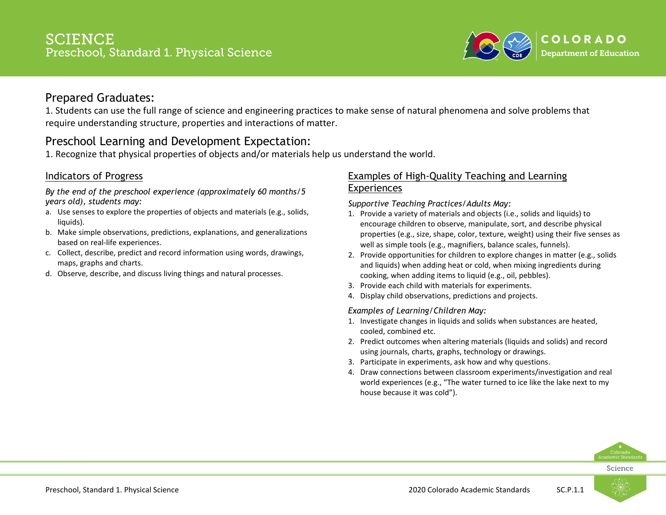

1. Students can use the full range of science and engineering practices to make sense of natural phenomena and solve problems that require understanding structure, properties and interactions of matter.

# Preschool Learning and Development Expectation:

1. Recognize that physical properties of objects and/or materials help us understand the world.

### Indicators of Progress

*By the end of the preschool experience (approximately 60 months/5 years old), students may:*

- a. Use senses to explore the properties of objects and materials (e.g., solids, liquids).
- b. Make simple observations, predictions, explanations, and generalizations based on real-life experiences.
- c. Collect, describe, predict and record information using words, drawings, maps, graphs and charts.
- d. Observe, describe, and discuss living things and natural processes.

### Examples of High-Quality Teaching and Learning Experiences

#### *Supportive Teaching Practices/Adults May:*

- 1. Provide a variety of materials and objects (i.e., solids and liquids) to encourage children to observe, manipulate, sort, and describe physical properties (e.g., size, shape, color, texture, weight) using their five senses as well as simple tools (e.g., magnifiers, balance scales, funnels).
- 2. Provide opportunities for children to explore changes in matter (e.g., solids and liquids) when adding heat or cold, when mixing ingredients during cooking, when adding items to liquid (e.g., oil, pebbles).
- 3. Provide each child with materials for experiments.
- 4. Display child observations, predictions and projects.

#### *Examples of Learning/Children May:*

- 1. Investigate changes in liquids and solids when substances are heated, cooled, combined etc.
- 2. Predict outcomes when altering materials (liquids and solids) and record using journals, charts, graphs, technology or drawings.
- 3. Participate in experiments, ask how and why questions.
- 4. Draw connections between classroom experiments/investigation and real world experiences (e.g., "The water turned to ice like the lake next to my house because it was cold").



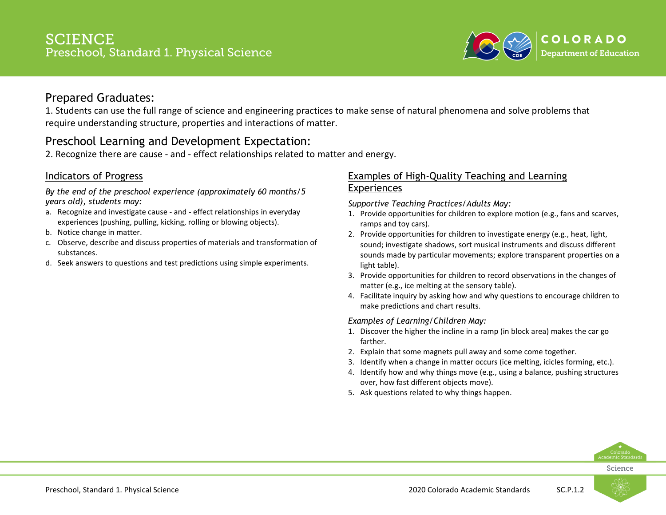

1. Students can use the full range of science and engineering practices to make sense of natural phenomena and solve problems that require understanding structure, properties and interactions of matter.

# Preschool Learning and Development Expectation:

2. Recognize there are cause - and - effect relationships related to matter and energy.

### Indicators of Progress

*By the end of the preschool experience (approximately 60 months/5 years old), students may:*

- a. Recognize and investigate cause and effect relationships in everyday experiences (pushing, pulling, kicking, rolling or blowing objects).
- b. Notice change in matter.
- c. Observe, describe and discuss properties of materials and transformation of substances.
- d. Seek answers to questions and test predictions using simple experiments.

### Examples of High-Quality Teaching and Learning Experiences

*Supportive Teaching Practices/Adults May:*

- 1. Provide opportunities for children to explore motion (e.g., fans and scarves, ramps and toy cars).
- 2. Provide opportunities for children to investigate energy (e.g., heat, light, sound; investigate shadows, sort musical instruments and discuss different sounds made by particular movements; explore transparent properties on a light table).
- 3. Provide opportunities for children to record observations in the changes of matter (e.g., ice melting at the sensory table).
- 4. Facilitate inquiry by asking how and why questions to encourage children to make predictions and chart results.

#### *Examples of Learning/Children May:*

- 1. Discover the higher the incline in a ramp (in block area) makes the car go farther.
- 2. Explain that some magnets pull away and some come together.
- 3. Identify when a change in matter occurs (ice melting, icicles forming, etc.).
- 4. Identify how and why things move (e.g., using a balance, pushing structures over, how fast different objects move).
- 5. Ask questions related to why things happen.



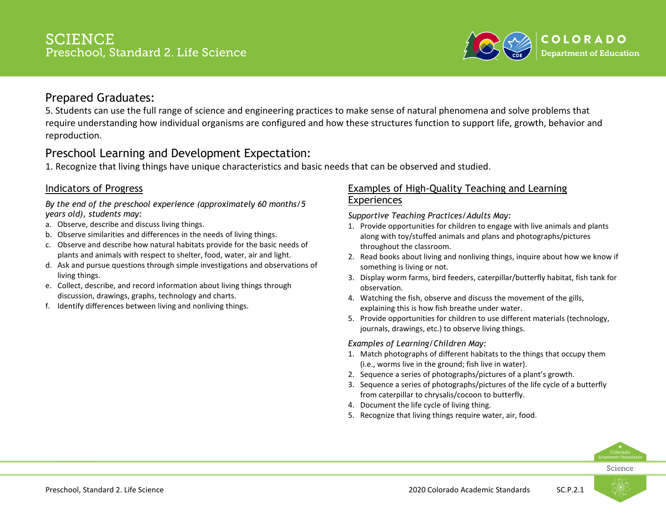

5. Students can use the full range of science and engineering practices to make sense of natural phenomena and solve problems that require understanding how individual organisms are configured and how these structures function to support life, growth, behavior and reproduction.

# Preschool Learning and Development Expectation:

1. Recognize that living things have unique characteristics and basic needs that can be observed and studied.

### Indicators of Progress

*By the end of the preschool experience (approximately 60 months/5 years old), students may:*

- a. Observe, describe and discuss living things.
- b. Observe similarities and differences in the needs of living things.
- c. Observe and describe how natural habitats provide for the basic needs of plants and animals with respect to shelter, food, water, air and light.
- d. Ask and pursue questions through simple investigations and observations of living things.
- e. Collect, describe, and record information about living things through discussion, drawings, graphs, technology and charts.
- f. Identify differences between living and nonliving things.

### Examples of High-Quality Teaching and Learning **Experiences**

*Supportive Teaching Practices/Adults May:*

- 1. Provide opportunities for children to engage with live animals and plants along with toy/stuffed animals and plans and photographs/pictures throughout the classroom.
- 2. Read books about living and nonliving things, inquire about how we know if something is living or not.
- 3. Display worm farms, bird feeders, caterpillar/butterfly habitat, fish tank for observation.
- 4. Watching the fish, observe and discuss the movement of the gills, explaining this is how fish breathe under water.
- 5. Provide opportunities for children to use different materials (technology, journals, drawings, etc.) to observe living things.

#### *Examples of Learning/Children May:*

- 1. Match photographs of different habitats to the things that occupy them (i.e., worms live in the ground; fish live in water).
- 2. Sequence a series of photographs/pictures of a plant's growth.
- 3. Sequence a series of photographs/pictures of the life cycle of a butterfly from caterpillar to chrysalis/cocoon to butterfly.
- 4. Document the life cycle of living thing.
- 5. Recognize that living things require water, air, food.

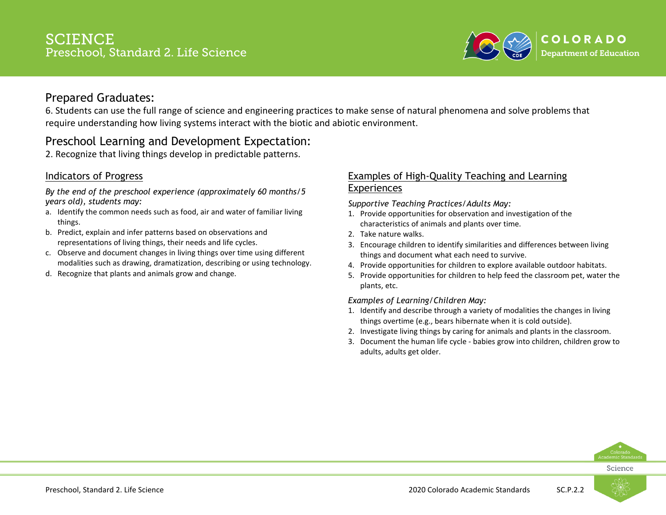

6. Students can use the full range of science and engineering practices to make sense of natural phenomena and solve problems that require understanding how living systems interact with the biotic and abiotic environment.

# Preschool Learning and Development Expectation:

2. Recognize that living things develop in predictable patterns.

### Indicators of Progress

*By the end of the preschool experience (approximately 60 months/5 years old), students may:*

- a. Identify the common needs such as food, air and water of familiar living things.
- b. Predict, explain and infer patterns based on observations and representations of living things, their needs and life cycles.
- c. Observe and document changes in living things over time using different modalities such as drawing, dramatization, describing or using technology.
- d. Recognize that plants and animals grow and change.

### Examples of High-Quality Teaching and Learning Experiences

*Supportive Teaching Practices/Adults May:*

- 1. Provide opportunities for observation and investigation of the characteristics of animals and plants over time.
- 2. Take nature walks.
- 3. Encourage children to identify similarities and differences between living things and document what each need to survive.
- 4. Provide opportunities for children to explore available outdoor habitats.
- 5. Provide opportunities for children to help feed the classroom pet, water the plants, etc.

#### *Examples of Learning/Children May:*

- 1. Identify and describe through a variety of modalities the changes in living things overtime (e.g., bears hibernate when it is cold outside).
- 2. Investigate living things by caring for animals and plants in the classroom.
- 3. Document the human life cycle babies grow into children, children grow to adults, adults get older.



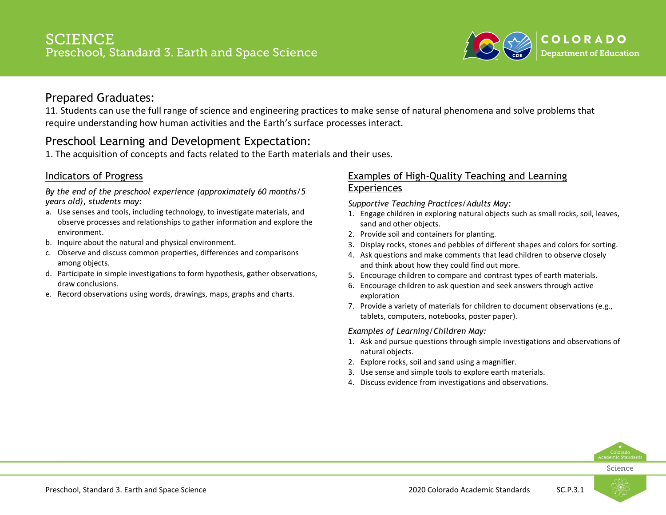

11. Students can use the full range of science and engineering practices to make sense of natural phenomena and solve problems that require understanding how human activities and the Earth's surface processes interact.

# Preschool Learning and Development Expectation:

1. The acquisition of concepts and facts related to the Earth materials and their uses.

### Indicators of Progress

*By the end of the preschool experience (approximately 60 months/5 years old), students may:*

- a. Use senses and tools, including technology, to investigate materials, and observe processes and relationships to gather information and explore the environment.
- b. Inquire about the natural and physical environment.
- c. Observe and discuss common properties, differences and comparisons among objects.
- d. Participate in simple investigations to form hypothesis, gather observations, draw conclusions.
- e. Record observations using words, drawings, maps, graphs and charts.

### Examples of High-Quality Teaching and Learning Experiences

*Supportive Teaching Practices/Adults May:*

- 1. Engage children in exploring natural objects such as small rocks, soil, leaves, sand and other objects.
- 2. Provide soil and containers for planting.
- 3. Display rocks, stones and pebbles of different shapes and colors for sorting.
- 4. Ask questions and make comments that lead children to observe closely and think about how they could find out more.
- 5. Encourage children to compare and contrast types of earth materials.
- 6. Encourage children to ask question and seek answers through active exploration
- 7. Provide a variety of materials for children to document observations (e.g., tablets, computers, notebooks, poster paper).

#### *Examples of Learning/Children May:*

- 1. Ask and pursue questions through simple investigations and observations of natural objects.
- 2. Explore rocks, soil and sand using a magnifier.
- 3. Use sense and simple tools to explore earth materials.
- 4. Discuss evidence from investigations and observations.



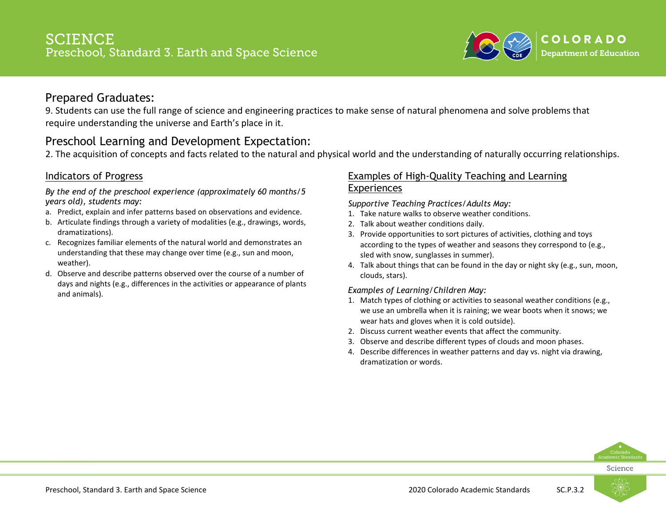

9. Students can use the full range of science and engineering practices to make sense of natural phenomena and solve problems that require understanding the universe and Earth's place in it.

# Preschool Learning and Development Expectation:

2. The acquisition of concepts and facts related to the natural and physical world and the understanding of naturally occurring relationships.

### Indicators of Progress

*By the end of the preschool experience (approximately 60 months/5 years old), students may:*

- a. Predict, explain and infer patterns based on observations and evidence.
- b. Articulate findings through a variety of modalities (e.g., drawings, words, dramatizations).
- c. Recognizes familiar elements of the natural world and demonstrates an understanding that these may change over time (e.g., sun and moon, weather).
- d. Observe and describe patterns observed over the course of a number of days and nights (e.g., differences in the activities or appearance of plants and animals).

### Examples of High-Quality Teaching and Learning Experiences

*Supportive Teaching Practices/Adults May:*

- 1. Take nature walks to observe weather conditions.
- 2. Talk about weather conditions daily.
- 3. Provide opportunities to sort pictures of activities, clothing and toys according to the types of weather and seasons they correspond to (e.g., sled with snow, sunglasses in summer).
- 4. Talk about things that can be found in the day or night sky (e.g., sun, moon, clouds, stars).

#### *Examples of Learning/Children May:*

- 1. Match types of clothing or activities to seasonal weather conditions (e.g., we use an umbrella when it is raining; we wear boots when it snows; we wear hats and gloves when it is cold outside).
- 2. Discuss current weather events that affect the community.
- 3. Observe and describe different types of clouds and moon phases.
- 4. Describe differences in weather patterns and day vs. night via drawing, dramatization or words.



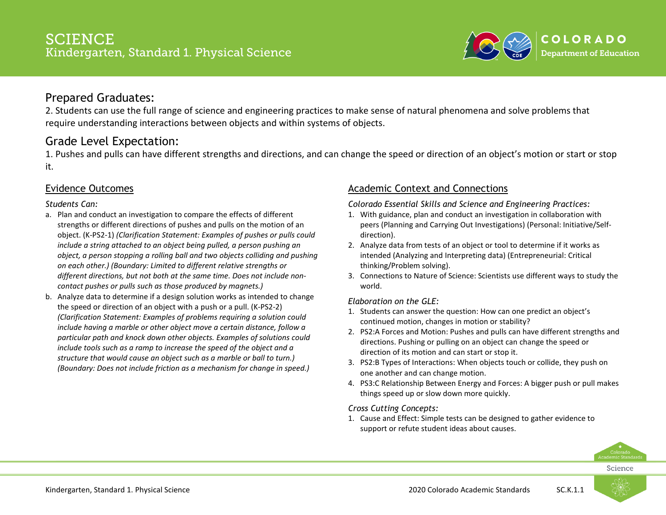

2. Students can use the full range of science and engineering practices to make sense of natural phenomena and solve problems that require understanding interactions between objects and within systems of objects.

# Grade Level Expectation:

1. Pushes and pulls can have different strengths and directions, and can change the speed or direction of an object's motion or start or stop it.

### Evidence Outcomes

#### *Students Can:*

- a. Plan and conduct an investigation to compare the effects of different strengths or different directions of pushes and pulls on the motion of an object. (K-PS2-1) *(Clarification Statement: Examples of pushes or pulls could include a string attached to an object being pulled, a person pushing an object, a person stopping a rolling ball and two objects colliding and pushing on each other.) (Boundary: Limited to different relative strengths or different directions, but not both at the same time. Does not include noncontact pushes or pulls such as those produced by magnets.)*
- b. Analyze data to determine if a design solution works as intended to change the speed or direction of an object with a push or a pull. (K-PS2-2) *(Clarification Statement: Examples of problems requiring a solution could include having a marble or other object move a certain distance, follow a particular path and knock down other objects. Examples of solutions could include tools such as a ramp to increase the speed of the object and a structure that would cause an object such as a marble or ball to turn.) (Boundary: Does not include friction as a mechanism for change in speed.)*

### Academic Context and Connections

#### *Colorado Essential Skills and Science and Engineering Practices:*

- 1. With guidance, plan and conduct an investigation in collaboration with peers (Planning and Carrying Out Investigations) (Personal: Initiative/Selfdirection).
- 2. Analyze data from tests of an object or tool to determine if it works as intended (Analyzing and Interpreting data) (Entrepreneurial: Critical thinking/Problem solving).
- 3. Connections to Nature of Science: Scientists use different ways to study the world.

#### *Elaboration on the GLE:*

- 1. Students can answer the question: How can one predict an object's continued motion, changes in motion or stability?
- 2. PS2:A Forces and Motion: Pushes and pulls can have different strengths and directions. Pushing or pulling on an object can change the speed or direction of its motion and can start or stop it.
- 3. PS2:B Types of Interactions: When objects touch or collide, they push on one another and can change motion.
- 4. PS3:C Relationship Between Energy and Forces: A bigger push or pull makes things speed up or slow down more quickly.

#### *Cross Cutting Concepts:*

1. Cause and Effect: Simple tests can be designed to gather evidence to support or refute student ideas about causes.



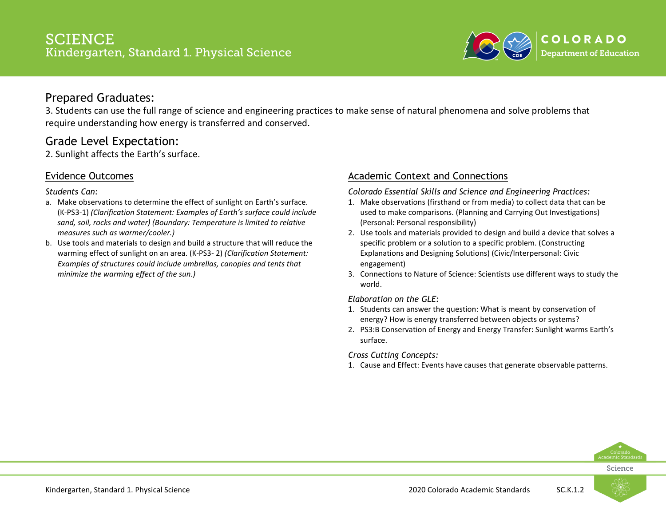

3. Students can use the full range of science and engineering practices to make sense of natural phenomena and solve problems that require understanding how energy is transferred and conserved.

# Grade Level Expectation:

2. Sunlight affects the Earth's surface.

### Evidence Outcomes

*Students Can:*

- a. Make observations to determine the effect of sunlight on Earth's surface. (K-PS3-1) *(Clarification Statement: Examples of Earth's surface could include sand, soil, rocks and water) (Boundary: Temperature is limited to relative measures such as warmer/cooler.)*
- b. Use tools and materials to design and build a structure that will reduce the warming effect of sunlight on an area. (K-PS3- 2) *(Clarification Statement: Examples of structures could include umbrellas, canopies and tents that minimize the warming effect of the sun.)*

### Academic Context and Connections

*Colorado Essential Skills and Science and Engineering Practices:*

- 1. Make observations (firsthand or from media) to collect data that can be used to make comparisons. (Planning and Carrying Out Investigations) (Personal: Personal responsibility)
- 2. Use tools and materials provided to design and build a device that solves a specific problem or a solution to a specific problem. (Constructing Explanations and Designing Solutions) (Civic/Interpersonal: Civic engagement)
- 3. Connections to Nature of Science: Scientists use different ways to study the world.

#### *Elaboration on the GLE:*

- 1. Students can answer the question: What is meant by conservation of energy? How is energy transferred between objects or systems?
- 2. PS3:B Conservation of Energy and Energy Transfer: Sunlight warms Earth's surface.

#### *Cross Cutting Concepts:*

1. Cause and Effect: Events have causes that generate observable patterns.



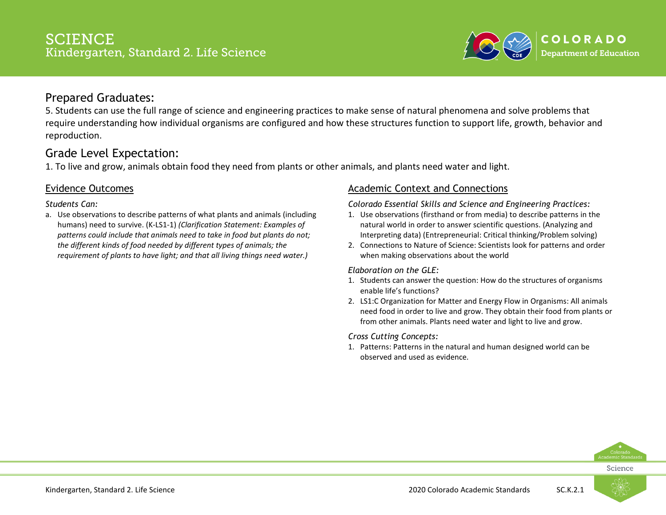

5. Students can use the full range of science and engineering practices to make sense of natural phenomena and solve problems that require understanding how individual organisms are configured and how these structures function to support life, growth, behavior and reproduction.

# Grade Level Expectation:

1. To live and grow, animals obtain food they need from plants or other animals, and plants need water and light.

### Evidence Outcomes

#### *Students Can:*

a. Use observations to describe patterns of what plants and animals (including humans) need to survive. (K-LS1-1) *(Clarification Statement: Examples of patterns could include that animals need to take in food but plants do not; the different kinds of food needed by different types of animals; the requirement of plants to have light; and that all living things need water.)*

### Academic Context and Connections

#### *Colorado Essential Skills and Science and Engineering Practices:*

- 1. Use observations (firsthand or from media) to describe patterns in the natural world in order to answer scientific questions. (Analyzing and Interpreting data) (Entrepreneurial: Critical thinking/Problem solving)
- 2. Connections to Nature of Science: Scientists look for patterns and order when making observations about the world

#### *Elaboration on the GLE:*

- 1. Students can answer the question: How do the structures of organisms enable life's functions?
- 2. LS1:C Organization for Matter and Energy Flow in Organisms: All animals need food in order to live and grow. They obtain their food from plants or from other animals. Plants need water and light to live and grow.

#### *Cross Cutting Concepts:*

1. Patterns: Patterns in the natural and human designed world can be observed and used as evidence.



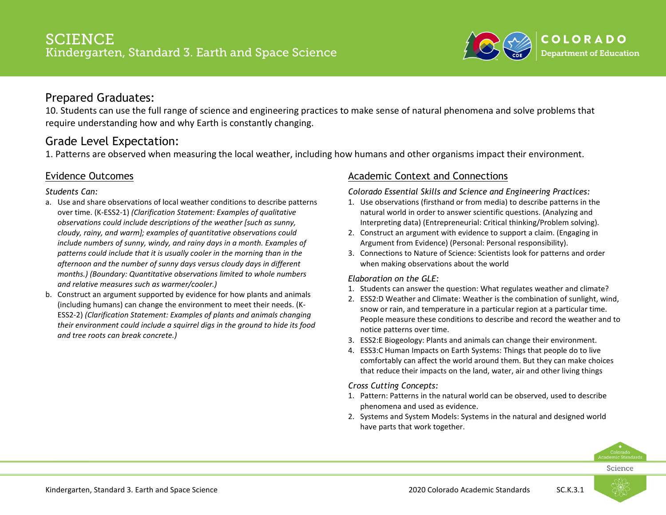

10. Students can use the full range of science and engineering practices to make sense of natural phenomena and solve problems that require understanding how and why Earth is constantly changing.

# Grade Level Expectation:

1. Patterns are observed when measuring the local weather, including how humans and other organisms impact their environment.

### Evidence Outcomes

#### *Students Can:*

- a. Use and share observations of local weather conditions to describe patterns over time. (K-ESS2-1) *(Clarification Statement: Examples of qualitative observations could include descriptions of the weather [such as sunny, cloudy, rainy, and warm]; examples of quantitative observations could include numbers of sunny, windy, and rainy days in a month. Examples of patterns could include that it is usually cooler in the morning than in the afternoon and the number of sunny days versus cloudy days in different months.) (Boundary: Quantitative observations limited to whole numbers and relative measures such as warmer/cooler.)*
- b. Construct an argument supported by evidence for how plants and animals (including humans) can change the environment to meet their needs. (K-ESS2-2) *(Clarification Statement: Examples of plants and animals changing their environment could include a squirrel digs in the ground to hide its food and tree roots can break concrete.)*

### Academic Context and Connections

#### *Colorado Essential Skills and Science and Engineering Practices:*

- 1. Use observations (firsthand or from media) to describe patterns in the natural world in order to answer scientific questions. (Analyzing and Interpreting data) (Entrepreneurial: Critical thinking/Problem solving).
- 2. Construct an argument with evidence to support a claim. (Engaging in Argument from Evidence) (Personal: Personal responsibility).
- 3. Connections to Nature of Science: Scientists look for patterns and order when making observations about the world

#### *Elaboration on the GLE:*

- 1. Students can answer the question: What regulates weather and climate?
- 2. ESS2:D Weather and Climate: Weather is the combination of sunlight, wind, snow or rain, and temperature in a particular region at a particular time. People measure these conditions to describe and record the weather and to notice patterns over time.
- 3. ESS2:E Biogeology: Plants and animals can change their environment.
- 4. ESS3:C Human Impacts on Earth Systems: Things that people do to live comfortably can affect the world around them. But they can make choices that reduce their impacts on the land, water, air and other living things

#### *Cross Cutting Concepts:*

- 1. Pattern: Patterns in the natural world can be observed, used to describe phenomena and used as evidence.
- 2. Systems and System Models: Systems in the natural and designed world have parts that work together.



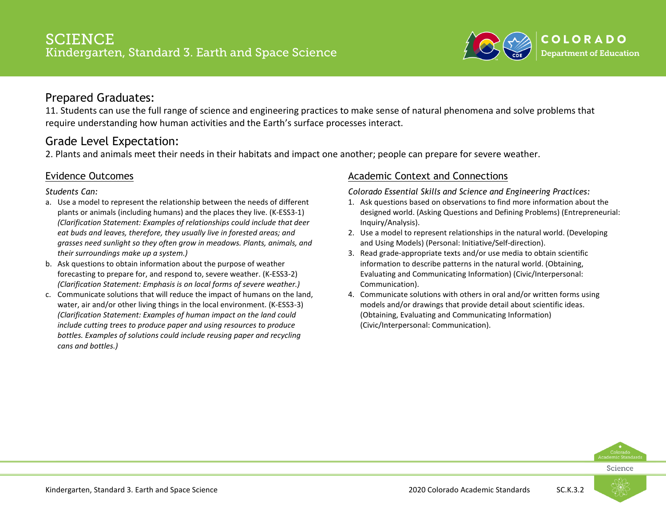

11. Students can use the full range of science and engineering practices to make sense of natural phenomena and solve problems that require understanding how human activities and the Earth's surface processes interact.

### Grade Level Expectation:

2. Plants and animals meet their needs in their habitats and impact one another; people can prepare for severe weather.

### Evidence Outcomes

*Students Can:*

- a. Use a model to represent the relationship between the needs of different plants or animals (including humans) and the places they live. (K-ESS3-1) *(Clarification Statement: Examples of relationships could include that deer eat buds and leaves, therefore, they usually live in forested areas; and grasses need sunlight so they often grow in meadows. Plants, animals, and their surroundings make up a system.)*
- b. Ask questions to obtain information about the purpose of weather forecasting to prepare for, and respond to, severe weather. (K-ESS3-2) *(Clarification Statement: Emphasis is on local forms of severe weather.)*
- c. Communicate solutions that will reduce the impact of humans on the land, water, air and/or other living things in the local environment. (K-ESS3-3) *(Clarification Statement: Examples of human impact on the land could include cutting trees to produce paper and using resources to produce bottles. Examples of solutions could include reusing paper and recycling cans and bottles.)*

### Academic Context and Connections

*Colorado Essential Skills and Science and Engineering Practices:*

- 1. Ask questions based on observations to find more information about the designed world. (Asking Questions and Defining Problems) (Entrepreneurial: Inquiry/Analysis).
- 2. Use a model to represent relationships in the natural world. (Developing and Using Models) (Personal: Initiative/Self-direction).
- 3. Read grade-appropriate texts and/or use media to obtain scientific information to describe patterns in the natural world. (Obtaining, Evaluating and Communicating Information) (Civic/Interpersonal: Communication).
- 4. Communicate solutions with others in oral and/or written forms using models and/or drawings that provide detail about scientific ideas. (Obtaining, Evaluating and Communicating Information) (Civic/Interpersonal: Communication).



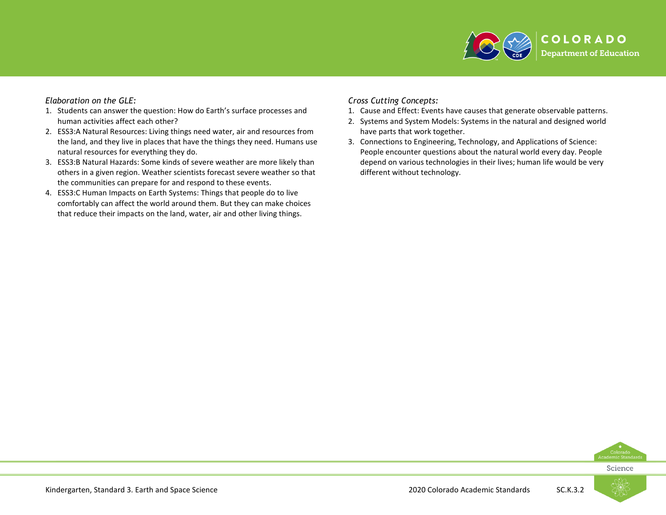

#### *Elaboration on the GLE:*

- 1. Students can answer the question: How do Earth's surface processes and human activities affect each other?
- 2. ESS3:A Natural Resources: Living things need water, air and resources from the land, and they live in places that have the things they need. Humans use natural resources for everything they do.
- 3. ESS3:B Natural Hazards: Some kinds of severe weather are more likely than others in a given region. Weather scientists forecast severe weather so that the communities can prepare for and respond to these events.
- 4. ESS3:C Human Impacts on Earth Systems: Things that people do to live comfortably can affect the world around them. But they can make choices that reduce their impacts on the land, water, air and other living things.

#### *Cross Cutting Concepts:*

- 1. Cause and Effect: Events have causes that generate observable patterns.
- 2. Systems and System Models: Systems in the natural and designed world have parts that work together.
- 3. Connections to Engineering, Technology, and Applications of Science: People encounter questions about the natural world every day. People depend on various technologies in their lives; human life would be very different without technology.



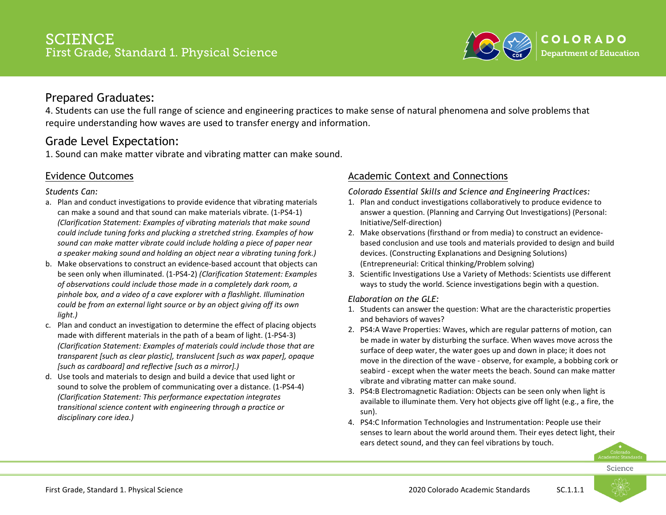

4. Students can use the full range of science and engineering practices to make sense of natural phenomena and solve problems that require understanding how waves are used to transfer energy and information.

# Grade Level Expectation:

1. Sound can make matter vibrate and vibrating matter can make sound.

### Evidence Outcomes

#### *Students Can:*

- a. Plan and conduct investigations to provide evidence that vibrating materials can make a sound and that sound can make materials vibrate. (1-PS4-1) *(Clarification Statement: Examples of vibrating materials that make sound could include tuning forks and plucking a stretched string. Examples of how sound can make matter vibrate could include holding a piece of paper near a speaker making sound and holding an object near a vibrating tuning fork.)*
- b. Make observations to construct an evidence-based account that objects can be seen only when illuminated. (1-PS4-2) *(Clarification Statement: Examples of observations could include those made in a completely dark room, a pinhole box, and a video of a cave explorer with a flashlight. Illumination could be from an external light source or by an object giving off its own light.)*
- c. Plan and conduct an investigation to determine the effect of placing objects made with different materials in the path of a beam of light. (1-PS4-3) *(Clarification Statement: Examples of materials could include those that are transparent [such as clear plastic], translucent [such as wax paper], opaque [such as cardboard] and reflective [such as a mirror].)*
- d. Use tools and materials to design and build a device that used light or sound to solve the problem of communicating over a distance. (1-PS4-4) *(Clarification Statement: This performance expectation integrates transitional science content with engineering through a practice or disciplinary core idea.)*

### Academic Context and Connections

*Colorado Essential Skills and Science and Engineering Practices:*

- 1. Plan and conduct investigations collaboratively to produce evidence to answer a question. (Planning and Carrying Out Investigations) (Personal: Initiative/Self-direction)
- 2. Make observations (firsthand or from media) to construct an evidencebased conclusion and use tools and materials provided to design and build devices. (Constructing Explanations and Designing Solutions) (Entrepreneurial: Critical thinking/Problem solving)
- 3. Scientific Investigations Use a Variety of Methods: Scientists use different ways to study the world. Science investigations begin with a question.

#### *Elaboration on the GLE:*

- 1. Students can answer the question: What are the characteristic properties and behaviors of waves?
- 2. PS4:A Wave Properties: Waves, which are regular patterns of motion, can be made in water by disturbing the surface. When waves move across the surface of deep water, the water goes up and down in place; it does not move in the direction of the wave - observe, for example, a bobbing cork or seabird - except when the water meets the beach. Sound can make matter vibrate and vibrating matter can make sound.
- 3. PS4:B Electromagnetic Radiation: Objects can be seen only when light is available to illuminate them. Very hot objects give off light (e.g., a fire, the sun).
- 4. PS4:C Information Technologies and Instrumentation: People use their senses to learn about the world around them. Their eyes detect light, their ears detect sound, and they can feel vibrations by touch.

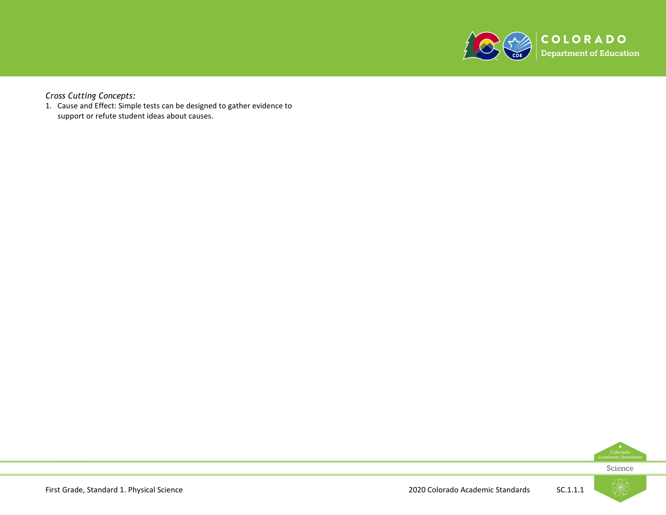

*Cross Cutting Concepts:*

1. Cause and Effect: Simple tests can be designed to gather evidence to support or refute student ideas about causes.



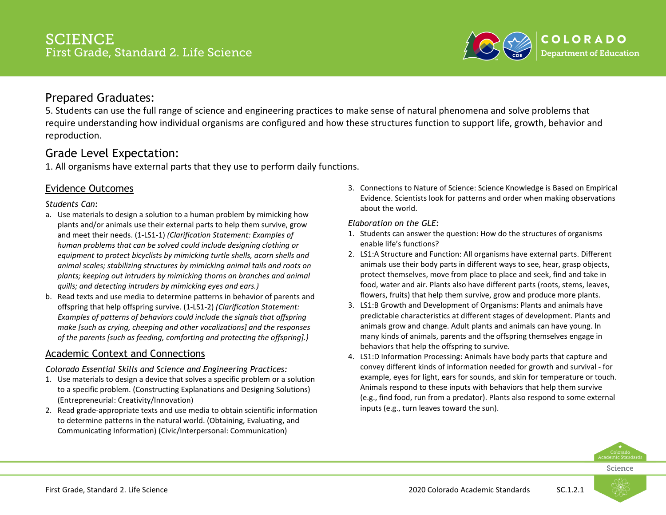

5. Students can use the full range of science and engineering practices to make sense of natural phenomena and solve problems that require understanding how individual organisms are configured and how these structures function to support life, growth, behavior and reproduction.

# Grade Level Expectation:

1. All organisms have external parts that they use to perform daily functions.

### Evidence Outcomes

#### *Students Can:*

- a. Use materials to design a solution to a human problem by mimicking how plants and/or animals use their external parts to help them survive, grow and meet their needs. (1-LS1-1) *(Clarification Statement: Examples of human problems that can be solved could include designing clothing or equipment to protect bicyclists by mimicking turtle shells, acorn shells and animal scales; stabilizing structures by mimicking animal tails and roots on plants; keeping out intruders by mimicking thorns on branches and animal quills; and detecting intruders by mimicking eyes and ears.)*
- b. Read texts and use media to determine patterns in behavior of parents and offspring that help offspring survive. (1-LS1-2) *(Clarification Statement: Examples of patterns of behaviors could include the signals that offspring make [such as crying, cheeping and other vocalizations] and the responses of the parents [such as feeding, comforting and protecting the offspring].)*

### Academic Context and Connections

*Colorado Essential Skills and Science and Engineering Practices:*

- 1. Use materials to design a device that solves a specific problem or a solution to a specific problem. (Constructing Explanations and Designing Solutions) (Entrepreneurial: Creativity/Innovation)
- 2. Read grade-appropriate texts and use media to obtain scientific information to determine patterns in the natural world. (Obtaining, Evaluating, and Communicating Information) (Civic/Interpersonal: Communication)

3. Connections to Nature of Science: Science Knowledge is Based on Empirical Evidence. Scientists look for patterns and order when making observations about the world.

#### *Elaboration on the GLE:*

- 1. Students can answer the question: How do the structures of organisms enable life's functions?
- 2. LS1:A Structure and Function: All organisms have external parts. Different animals use their body parts in different ways to see, hear, grasp objects, protect themselves, move from place to place and seek, find and take in food, water and air. Plants also have different parts (roots, stems, leaves, flowers, fruits) that help them survive, grow and produce more plants.
- 3. LS1:B Growth and Development of Organisms: Plants and animals have predictable characteristics at different stages of development. Plants and animals grow and change. Adult plants and animals can have young. In many kinds of animals, parents and the offspring themselves engage in behaviors that help the offspring to survive.
- 4. LS1:D Information Processing: Animals have body parts that capture and convey different kinds of information needed for growth and survival - for example, eyes for light, ears for sounds, and skin for temperature or touch. Animals respond to these inputs with behaviors that help them survive (e.g., find food, run from a predator). Plants also respond to some external inputs (e.g., turn leaves toward the sun).



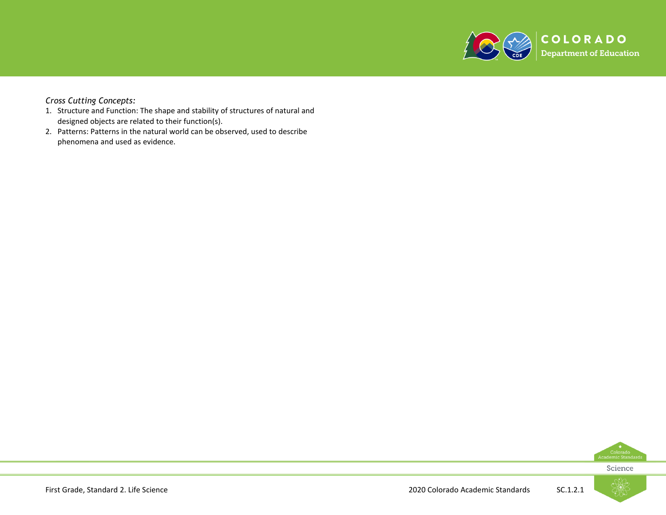

#### *Cross Cutting Concepts:*

- 1. Structure and Function: The shape and stability of structures of natural and designed objects are related to their function(s).
- 2. Patterns: Patterns in the natural world can be observed, used to describe phenomena and used as evidence.



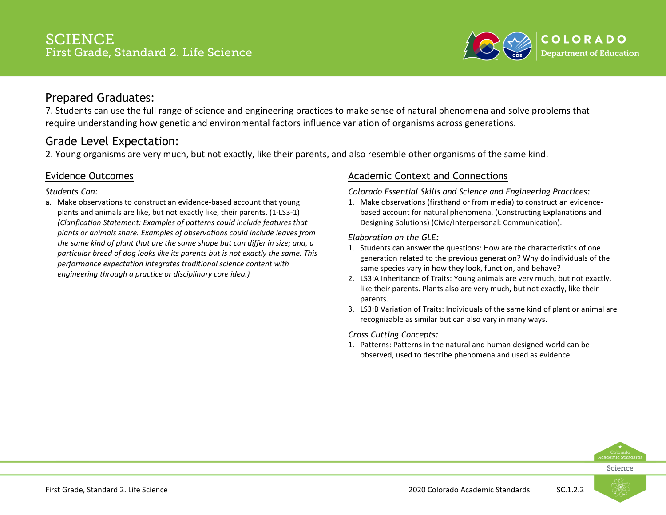

7. Students can use the full range of science and engineering practices to make sense of natural phenomena and solve problems that require understanding how genetic and environmental factors influence variation of organisms across generations.

# Grade Level Expectation:

2. Young organisms are very much, but not exactly, like their parents, and also resemble other organisms of the same kind.

### Evidence Outcomes

*Students Can:*

a. Make observations to construct an evidence-based account that young plants and animals are like, but not exactly like, their parents. (1-LS3-1) *(Clarification Statement: Examples of patterns could include features that plants or animals share. Examples of observations could include leaves from the same kind of plant that are the same shape but can differ in size; and, a particular breed of dog looks like its parents but is not exactly the same. This performance expectation integrates traditional science content with engineering through a practice or disciplinary core idea.)*

### Academic Context and Connections

*Colorado Essential Skills and Science and Engineering Practices:*

1. Make observations (firsthand or from media) to construct an evidencebased account for natural phenomena. (Constructing Explanations and Designing Solutions) (Civic/Interpersonal: Communication).

*Elaboration on the GLE:*

- 1. Students can answer the questions: How are the characteristics of one generation related to the previous generation? Why do individuals of the same species vary in how they look, function, and behave?
- 2. LS3:A Inheritance of Traits: Young animals are very much, but not exactly, like their parents. Plants also are very much, but not exactly, like their parents.
- 3. LS3:B Variation of Traits: Individuals of the same kind of plant or animal are recognizable as similar but can also vary in many ways.

#### *Cross Cutting Concepts:*

1. Patterns: Patterns in the natural and human designed world can be observed, used to describe phenomena and used as evidence.



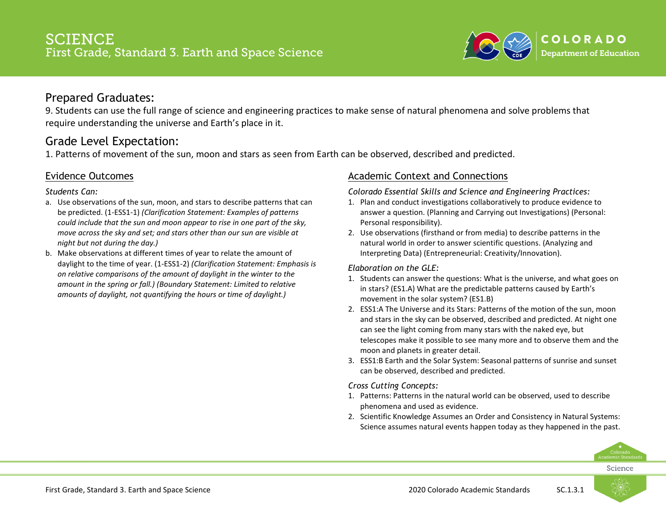

9. Students can use the full range of science and engineering practices to make sense of natural phenomena and solve problems that require understanding the universe and Earth's place in it.

# Grade Level Expectation:

1. Patterns of movement of the sun, moon and stars as seen from Earth can be observed, described and predicted.

### Evidence Outcomes

*Students Can:*

- a. Use observations of the sun, moon, and stars to describe patterns that can be predicted. (1-ESS1-1) *(Clarification Statement: Examples of patterns could include that the sun and moon appear to rise in one part of the sky, move across the sky and set; and stars other than our sun are visible at night but not during the day.)*
- b. Make observations at different times of year to relate the amount of daylight to the time of year. (1-ESS1-2) *(Clarification Statement: Emphasis is on relative comparisons of the amount of daylight in the winter to the amount in the spring or fall.) (Boundary Statement: Limited to relative amounts of daylight, not quantifying the hours or time of daylight.)*

### Academic Context and Connections

*Colorado Essential Skills and Science and Engineering Practices:*

- 1. Plan and conduct investigations collaboratively to produce evidence to answer a question. (Planning and Carrying out Investigations) (Personal: Personal responsibility).
- 2. Use observations (firsthand or from media) to describe patterns in the natural world in order to answer scientific questions. (Analyzing and Interpreting Data) (Entrepreneurial: Creativity/Innovation).

#### *Elaboration on the GLE:*

- 1. Students can answer the questions: What is the universe, and what goes on in stars? (ES1.A) What are the predictable patterns caused by Earth's movement in the solar system? (ES1.B)
- 2. ESS1:A The Universe and its Stars: Patterns of the motion of the sun, moon and stars in the sky can be observed, described and predicted. At night one can see the light coming from many stars with the naked eye, but telescopes make it possible to see many more and to observe them and the moon and planets in greater detail.
- 3. ESS1:B Earth and the Solar System: Seasonal patterns of sunrise and sunset can be observed, described and predicted.

#### *Cross Cutting Concepts:*

- 1. Patterns: Patterns in the natural world can be observed, used to describe phenomena and used as evidence.
- 2. Scientific Knowledge Assumes an Order and Consistency in Natural Systems: Science assumes natural events happen today as they happened in the past.



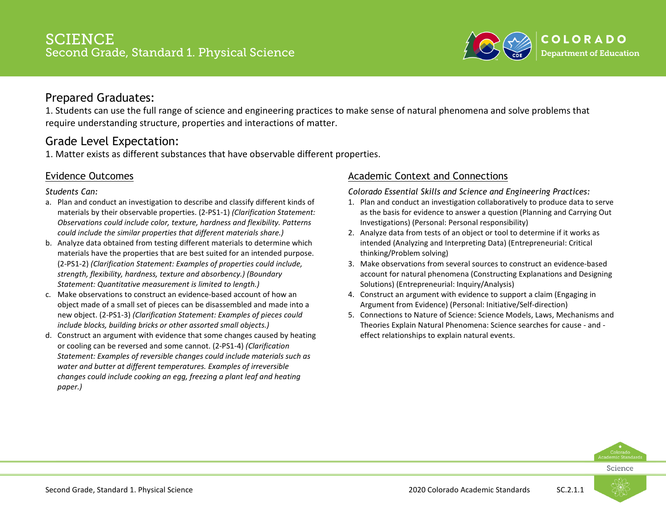

1. Students can use the full range of science and engineering practices to make sense of natural phenomena and solve problems that require understanding structure, properties and interactions of matter.

# Grade Level Expectation:

1. Matter exists as different substances that have observable different properties.

### Evidence Outcomes

#### *Students Can:*

- a. Plan and conduct an investigation to describe and classify different kinds of materials by their observable properties. (2-PS1-1) *(Clarification Statement: Observations could include color, texture, hardness and flexibility. Patterns could include the similar properties that different materials share.)*
- b. Analyze data obtained from testing different materials to determine which materials have the properties that are best suited for an intended purpose. (2-PS1-2) *(Clarification Statement: Examples of properties could include, strength, flexibility, hardness, texture and absorbency.) (Boundary Statement: Quantitative measurement is limited to length.)*
- c. Make observations to construct an evidence-based account of how an object made of a small set of pieces can be disassembled and made into a new object. (2-PS1-3) *(Clarification Statement: Examples of pieces could include blocks, building bricks or other assorted small objects.)*
- d. Construct an argument with evidence that some changes caused by heating or cooling can be reversed and some cannot. (2-PS1-4) *(Clarification Statement: Examples of reversible changes could include materials such as water and butter at different temperatures. Examples of irreversible changes could include cooking an egg, freezing a plant leaf and heating paper.)*

### Academic Context and Connections

*Colorado Essential Skills and Science and Engineering Practices:*

- 1. Plan and conduct an investigation collaboratively to produce data to serve as the basis for evidence to answer a question (Planning and Carrying Out Investigations) (Personal: Personal responsibility)
- 2. Analyze data from tests of an object or tool to determine if it works as intended (Analyzing and Interpreting Data) (Entrepreneurial: Critical thinking/Problem solving)
- 3. Make observations from several sources to construct an evidence-based account for natural phenomena (Constructing Explanations and Designing Solutions) (Entrepreneurial: Inquiry/Analysis)
- 4. Construct an argument with evidence to support a claim (Engaging in Argument from Evidence) (Personal: Initiative/Self-direction)
- 5. Connections to Nature of Science: Science Models, Laws, Mechanisms and Theories Explain Natural Phenomena: Science searches for cause - and effect relationships to explain natural events.



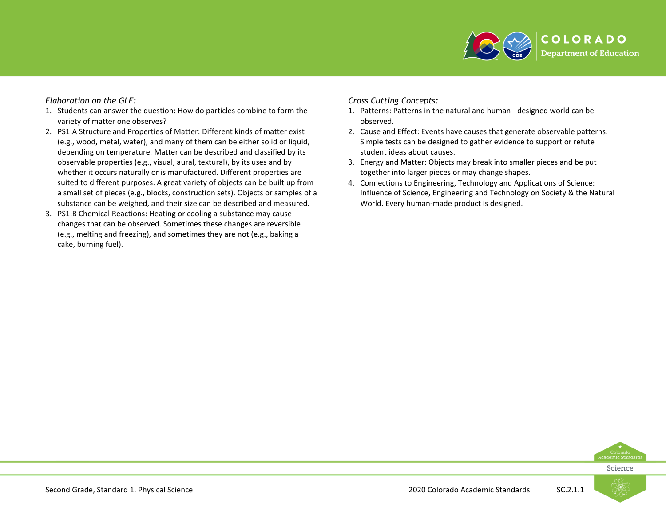

#### *Elaboration on the GLE:*

- 1. Students can answer the question: How do particles combine to form the variety of matter one observes?
- 2. PS1:A Structure and Properties of Matter: Different kinds of matter exist (e.g., wood, metal, water), and many of them can be either solid or liquid, depending on temperature. Matter can be described and classified by its observable properties (e.g., visual, aural, textural), by its uses and by whether it occurs naturally or is manufactured. Different properties are suited to different purposes. A great variety of objects can be built up from a small set of pieces (e.g., blocks, construction sets). Objects or samples of a substance can be weighed, and their size can be described and measured.
- 3. PS1:B Chemical Reactions: Heating or cooling a substance may cause changes that can be observed. Sometimes these changes are reversible (e.g., melting and freezing), and sometimes they are not (e.g., baking a cake, burning fuel).

#### *Cross Cutting Concepts:*

- 1. Patterns: Patterns in the natural and human designed world can be observed.
- 2. Cause and Effect: Events have causes that generate observable patterns. Simple tests can be designed to gather evidence to support or refute student ideas about causes.
- 3. Energy and Matter: Objects may break into smaller pieces and be put together into larger pieces or may change shapes.
- 4. Connections to Engineering, Technology and Applications of Science: Influence of Science, Engineering and Technology on Society & the Natural World. Every human-made product is designed.



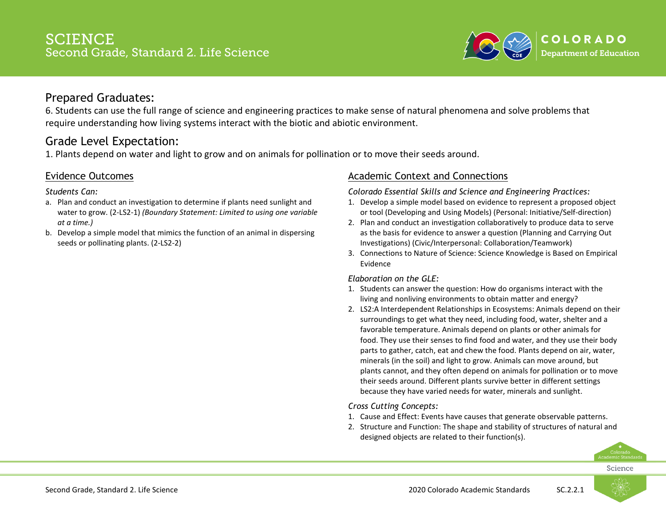

6. Students can use the full range of science and engineering practices to make sense of natural phenomena and solve problems that require understanding how living systems interact with the biotic and abiotic environment.

# Grade Level Expectation:

1. Plants depend on water and light to grow and on animals for pollination or to move their seeds around.

### Evidence Outcomes

*Students Can:*

- a. Plan and conduct an investigation to determine if plants need sunlight and water to grow. (2-LS2-1) *(Boundary Statement: Limited to using one variable at a time.)*
- b. Develop a simple model that mimics the function of an animal in dispersing seeds or pollinating plants. (2-LS2-2)

### Academic Context and Connections

*Colorado Essential Skills and Science and Engineering Practices:*

- 1. Develop a simple model based on evidence to represent a proposed object or tool (Developing and Using Models) (Personal: Initiative/Self-direction)
- 2. Plan and conduct an investigation collaboratively to produce data to serve as the basis for evidence to answer a question (Planning and Carrying Out Investigations) (Civic/Interpersonal: Collaboration/Teamwork)
- 3. Connections to Nature of Science: Science Knowledge is Based on Empirical Evidence

#### *Elaboration on the GLE:*

- 1. Students can answer the question: How do organisms interact with the living and nonliving environments to obtain matter and energy?
- 2. LS2:A Interdependent Relationships in Ecosystems: Animals depend on their surroundings to get what they need, including food, water, shelter and a favorable temperature. Animals depend on plants or other animals for food. They use their senses to find food and water, and they use their body parts to gather, catch, eat and chew the food. Plants depend on air, water, minerals (in the soil) and light to grow. Animals can move around, but plants cannot, and they often depend on animals for pollination or to move their seeds around. Different plants survive better in different settings because they have varied needs for water, minerals and sunlight.

### *Cross Cutting Concepts:*

- 1. Cause and Effect: Events have causes that generate observable patterns.
- 2. Structure and Function: The shape and stability of structures of natural and designed objects are related to their function(s).



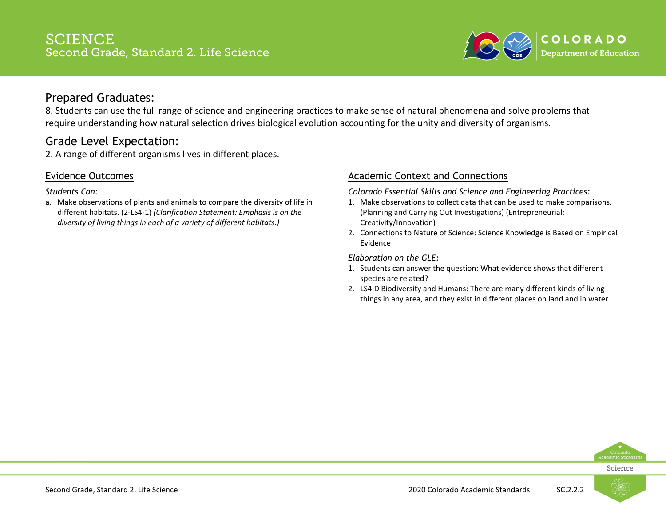

8. Students can use the full range of science and engineering practices to make sense of natural phenomena and solve problems that require understanding how natural selection drives biological evolution accounting for the unity and diversity of organisms.

### Grade Level Expectation:

2. A range of different organisms lives in different places.

### Evidence Outcomes

*Students Can:*

a. Make observations of plants and animals to compare the diversity of life in different habitats. (2-LS4-1) *(Clarification Statement: Emphasis is on the diversity of living things in each of a variety of different habitats.)*

### Academic Context and Connections

*Colorado Essential Skills and Science and Engineering Practices:*

- 1. Make observations to collect data that can be used to make comparisons. (Planning and Carrying Out Investigations) (Entrepreneurial: Creativity/Innovation)
- 2. Connections to Nature of Science: Science Knowledge is Based on Empirical Evidence

*Elaboration on the GLE:*

- 1. Students can answer the question: What evidence shows that different species are related?
- 2. LS4:D Biodiversity and Humans: There are many different kinds of living things in any area, and they exist in different places on land and in water.



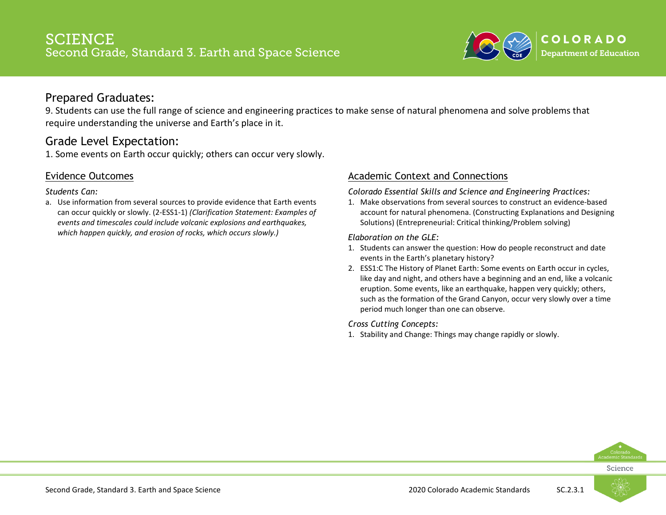

9. Students can use the full range of science and engineering practices to make sense of natural phenomena and solve problems that require understanding the universe and Earth's place in it.

# Grade Level Expectation:

1. Some events on Earth occur quickly; others can occur very slowly.

### Evidence Outcomes

#### *Students Can:*

a. Use information from several sources to provide evidence that Earth events can occur quickly or slowly. (2-ESS1-1) *(Clarification Statement: Examples of events and timescales could include volcanic explosions and earthquakes, which happen quickly, and erosion of rocks, which occurs slowly.)*

### Academic Context and Connections

*Colorado Essential Skills and Science and Engineering Practices:*

1. Make observations from several sources to construct an evidence-based account for natural phenomena. (Constructing Explanations and Designing Solutions) (Entrepreneurial: Critical thinking/Problem solving)

*Elaboration on the GLE:*

- 1. Students can answer the question: How do people reconstruct and date events in the Earth's planetary history?
- 2. ESS1:C The History of Planet Earth: Some events on Earth occur in cycles, like day and night, and others have a beginning and an end, like a volcanic eruption. Some events, like an earthquake, happen very quickly; others, such as the formation of the Grand Canyon, occur very slowly over a time period much longer than one can observe.

*Cross Cutting Concepts:*

1. Stability and Change: Things may change rapidly or slowly.